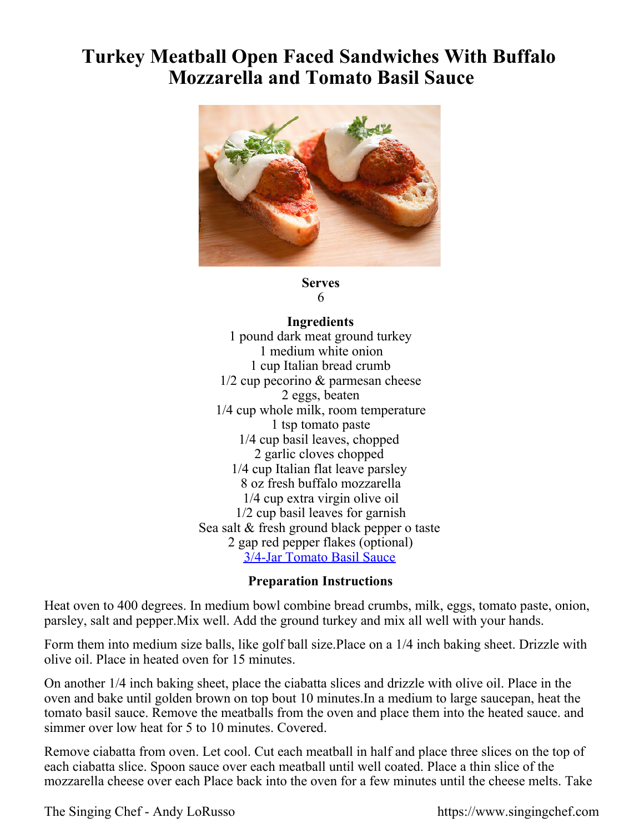## **Turkey Meatball Open Faced Sandwiches With Buffalo Mozzarella and Tomato Basil Sauce**



## **Serves** 6

## **Ingredients**

1 pound dark meat ground turkey 1 medium white onion 1 cup Italian bread crumb 1/2 cup pecorino & parmesan cheese 2 eggs, beaten 1/4 cup whole milk, room temperature 1 tsp tomato paste 1/4 cup basil leaves, chopped 2 garlic cloves chopped 1/4 cup Italian flat leave parsley 8 oz fresh buffalo mozzarella 1/4 cup extra virgin olive oil 1/2 cup basil leaves for garnish Sea salt & fresh ground black pepper o taste 2 gap red pepper flakes (optional) [3/4-Jar Tomato Basil Sauce](https://singingchefstore-com.3dcartstores.com/singing-chef-tomato-basil-sauce.html)

## **Preparation Instructions**

Heat oven to 400 degrees. In medium bowl combine bread crumbs, milk, eggs, tomato paste, onion, parsley, salt and pepper.Mix well. Add the ground turkey and mix all well with your hands.

Form them into medium size balls, like golf ball size.Place on a 1/4 inch baking sheet. Drizzle with olive oil. Place in heated oven for 15 minutes.

On another 1/4 inch baking sheet, place the ciabatta slices and drizzle with olive oil. Place in the oven and bake until golden brown on top bout 10 minutes.In a medium to large saucepan, heat the tomato basil sauce. Remove the meatballs from the oven and place them into the heated sauce. and simmer over low heat for 5 to 10 minutes. Covered.

Remove ciabatta from oven. Let cool. Cut each meatball in half and place three slices on the top of each ciabatta slice. Spoon sauce over each meatball until well coated. Place a thin slice of the mozzarella cheese over each Place back into the oven for a few minutes until the cheese melts. Take

The Singing Chef - Andy LoRusso https://www.singingchef.com